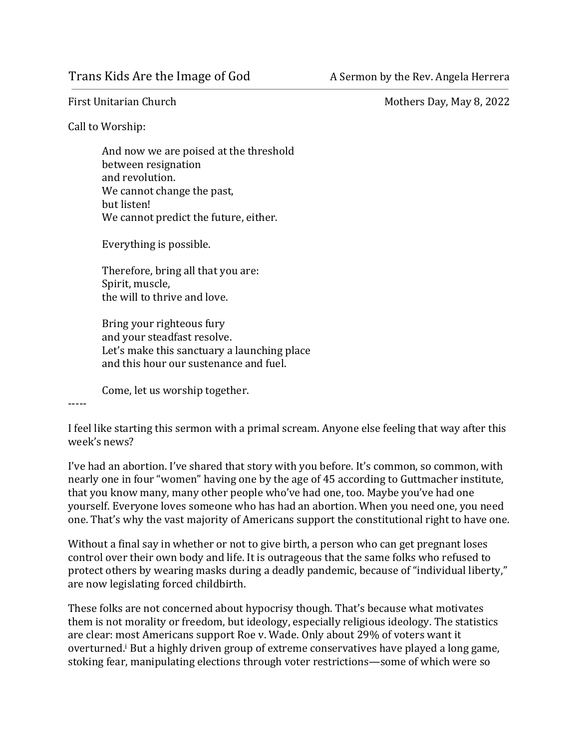First Unitarian Church **Exercise 2022** Mothers Day, May 8, 2022

Call to Worship:

And now we are poised at the threshold between resignation and revolution. We cannot change the past, but listen! We cannot predict the future, either.

Everything is possible.

Therefore, bring all that you are: Spirit, muscle, the will to thrive and love.

Bring your righteous fury and your steadfast resolve. Let's make this sanctuary a launching place and this hour our sustenance and fuel.

Come, let us worship together.

-----

I feel like starting this sermon with a primal scream. Anyone else feeling that way after this week's news?

I've had an abortion. I've shared that story with you before. It's common, so common, with nearly one in four "women" having one by the age of 45 according to Guttmacher institute, that you know many, many other people who've had one, too. Maybe you've had one yourself. Everyone loves someone who has had an abortion. When you need one, you need one. That's why the vast majority of Americans support the constitutional right to have one.

Without a final say in whether or not to give birth, a person who can get pregnant loses control over their own body and life. It is outrageous that the same folks who refused to protect others by wearing masks during a deadly pandemic, because of "individual liberty," are now legislating forced childbirth.

These folks are not concerned about hypocrisy though. That's because what motivates them is not morality or freedom, but ideology, especially religious ideology. The statistics are clear: most Americans support Roe v. Wade. Only about 29% of voters want it overturned.<sup>i</sup> But a highly driven group of extreme conservatives have played a long game, stoking fear, manipulating elections through voter restrictions—some of which were so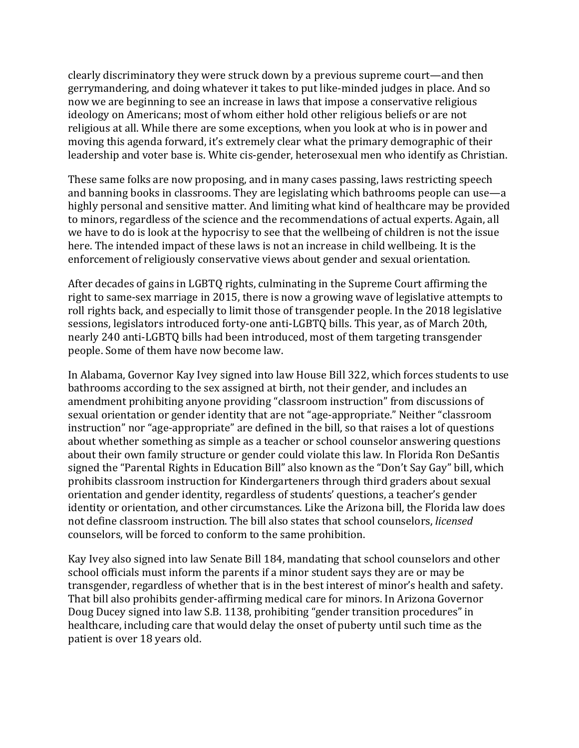clearly discriminatory they were struck down by a previous supreme court—and then gerrymandering, and doing whatever it takes to put like-minded judges in place. And so now we are beginning to see an increase in laws that impose a conservative religious ideology on Americans; most of whom either hold other religious beliefs or are not religious at all. While there are some exceptions, when you look at who is in power and moving this agenda forward, it's extremely clear what the primary demographic of their leadership and voter base is. White cis-gender, heterosexual men who identify as Christian.

These same folks are now proposing, and in many cases passing, laws restricting speech and banning books in classrooms. They are legislating which bathrooms people can use—a highly personal and sensitive matter. And limiting what kind of healthcare may be provided to minors, regardless of the science and the recommendations of actual experts. Again, all we have to do is look at the hypocrisy to see that the wellbeing of children is not the issue here. The intended impact of these laws is not an increase in child wellbeing. It is the enforcement of religiously conservative views about gender and sexual orientation.

After decades of gains in LGBTQ rights, culminating in the Supreme Court affirming the right to same-sex marriage in 2015, there is now a growing wave of legislative attempts to roll rights back, and especially to limit those of transgender people. In the 2018 legislative sessions, legislators introduced forty-one anti-LGBTQ bills. This year, as of March 20th, nearly 240 anti-LGBTQ bills had been introduced, most of them targeting transgender people. Some of them have now become law.

In Alabama, Governor Kay Ivey signed into law House Bill 322, which forces students to use bathrooms according to the sex assigned at birth, not their gender, and includes an amendment prohibiting anyone providing "classroom instruction" from discussions of sexual orientation or gender identity that are not "age-appropriate." Neither "classroom instruction" nor "age-appropriate" are defined in the bill, so that raises a lot of questions about whether something as simple as a teacher or school counselor answering questions about their own family structure or gender could violate this law. In Florida Ron DeSantis signed the "Parental Rights in Education Bill" also known as the "Don't Say Gay" bill, which prohibits classroom instruction for Kindergarteners through third graders about sexual orientation and gender identity, regardless of students' questions, a teacher's gender identity or orientation, and other circumstances. Like the Arizona bill, the Florida law does not define classroom instruction. The bill also states that school counselors, *licensed* counselors, will be forced to conform to the same prohibition.

Kay Ivey also signed into law Senate Bill 184, mandating that school counselors and other school officials must inform the parents if a minor student says they are or may be transgender, regardless of whether that is in the best interest of minor's health and safety. That bill also prohibits gender-affirming medical care for minors. In Arizona Governor Doug Ducey signed into law S.B. 1138, prohibiting "gender transition procedures" in healthcare, including care that would delay the onset of puberty until such time as the patient is over 18 years old.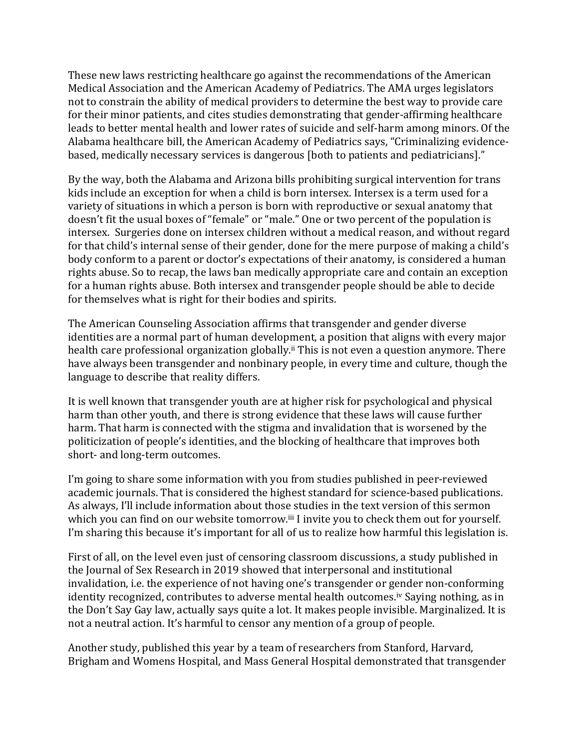These new laws restricting healthcare go against the recommendations of the American Medical Association and the American Academy of Pediatrics. The AMA urges legislators not to constrain the ability of medical providers to determine the best way to provide care for their minor patients, and cites studies demonstrating that gender-affirming healthcare leads to better mental health and lower rates of suicide and self-harm among minors. Of the Alabama healthcare bill, the American Academy of Pediatrics says, "Criminalizing evidencebased, medically necessary services is dangerous [both to patients and pediatricians]."

By the way, both the Alabama and Arizona bills prohibiting surgical intervention for trans kids include an exception for when a child is born intersex. Intersex is a term used for a variety of situations in which a person is born with reproductive or sexual anatomy that doesn't fit the usual boxes of "female" or "male." One or two percent of the population is intersex. Surgeries done on intersex children without a medical reason, and without regard for that child's internal sense of their gender, done for the mere purpose of making a child's body conform to a parent or doctor's expectations of their anatomy, is considered a human rights abuse. So to recap, the laws ban medically appropriate care and contain an exception for a human rights abuse. Both intersex and transgender people should be able to decide for themselves what is right for their bodies and spirits.

The American Counseling Association affirms that transgender and gender diverse identities are a normal part of human development, a position that aligns with every major health care professional organization globally.<sup>ii</sup> This is not even a question anymore. There have always been transgender and nonbinary people, in every time and culture, though the language to describe that reality differs.

It is well known that transgender youth are at higher risk for psychological and physical harm than other youth, and there is strong evidence that these laws will cause further harm. That harm is connected with the stigma and invalidation that is worsened by the politicization of people's identities, and the blocking of healthcare that improves both short- and long-term outcomes.

I'm going to share some information with you from studies published in peer-reviewed academic journals. That is considered the highest standard for science-based publications. As always, I'll include information about those studies in the text version of this sermon which you can find on our website tomorrow.<sup>iii</sup> I invite you to check them out for yourself. I'm sharing this because it's important for all of us to realize how harmful this legislation is.

First of all, on the level even just of censoring classroom discussions, a study published in the Journal of Sex Research in 2019 showed that interpersonal and institutional invalidation, i.e. the experience of not having one's transgender or gender non-conforming identity recognized, contributes to adverse mental health outcomes.<sup>iv</sup> Saying nothing, as in the Don't Say Gay law, actually says quite a lot. It makes people invisible. Marginalized. It is not a neutral action. It's harmful to censor any mention of a group of people.

Another study, published this year by a team of researchers from Stanford, Harvard, Brigham and Womens Hospital, and Mass General Hospital demonstrated that transgender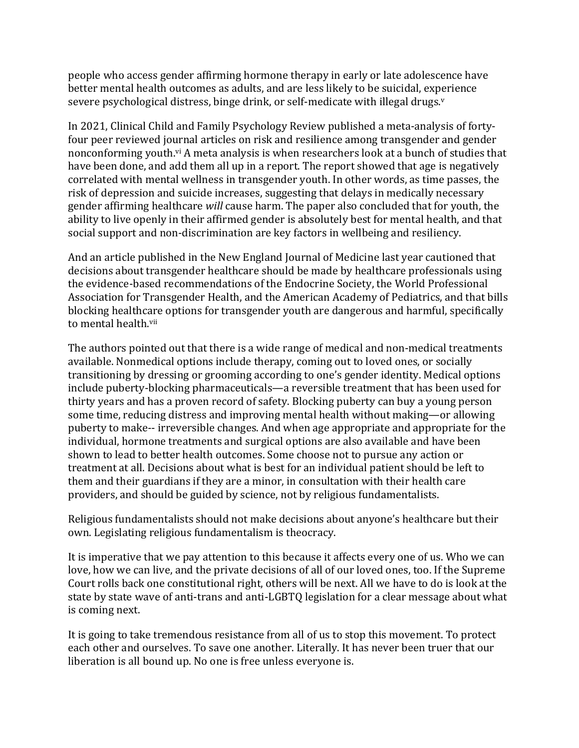people who access gender affirming hormone therapy in early or late adolescence have better mental health outcomes as adults, and are less likely to be suicidal, experience severe psychological distress, binge drink, or self-medicate with illegal drugs. $v$ 

In 2021, Clinical Child and Family Psychology Review published a meta-analysis of fortyfour peer reviewed journal articles on risk and resilience among transgender and gender nonconforming youth.<sup>vi</sup> A meta analysis is when researchers look at a bunch of studies that have been done, and add them all up in a report. The report showed that age is negatively correlated with mental wellness in transgender youth. In other words, as time passes, the risk of depression and suicide increases, suggesting that delays in medically necessary gender affirming healthcare *will* cause harm. The paper also concluded that for youth, the ability to live openly in their affirmed gender is absolutely best for mental health, and that social support and non-discrimination are key factors in wellbeing and resiliency.

And an article published in the New England Journal of Medicine last year cautioned that decisions about transgender healthcare should be made by healthcare professionals using the evidence-based recommendations of the Endocrine Society, the World Professional Association for Transgender Health, and the American Academy of Pediatrics, and that bills blocking healthcare options for transgender youth are dangerous and harmful, specifically to mental health.<sup>vii</sup>

The authors pointed out that there is a wide range of medical and non-medical treatments available. Nonmedical options include therapy, coming out to loved ones, or socially transitioning by dressing or grooming according to one's gender identity. Medical options include puberty-blocking pharmaceuticals—a reversible treatment that has been used for thirty years and has a proven record of safety. Blocking puberty can buy a young person some time, reducing distress and improving mental health without making—or allowing puberty to make-- irreversible changes. And when age appropriate and appropriate for the individual, hormone treatments and surgical options are also available and have been shown to lead to better health outcomes. Some choose not to pursue any action or treatment at all. Decisions about what is best for an individual patient should be left to them and their guardians if they are a minor, in consultation with their health care providers, and should be guided by science, not by religious fundamentalists.

Religious fundamentalists should not make decisions about anyone's healthcare but their own. Legislating religious fundamentalism is theocracy.

It is imperative that we pay attention to this because it affects every one of us. Who we can love, how we can live, and the private decisions of all of our loved ones, too. If the Supreme Court rolls back one constitutional right, others will be next. All we have to do is look at the state by state wave of anti-trans and anti-LGBTQ legislation for a clear message about what is coming next.

It is going to take tremendous resistance from all of us to stop this movement. To protect each other and ourselves. To save one another. Literally. It has never been truer that our liberation is all bound up. No one is free unless everyone is.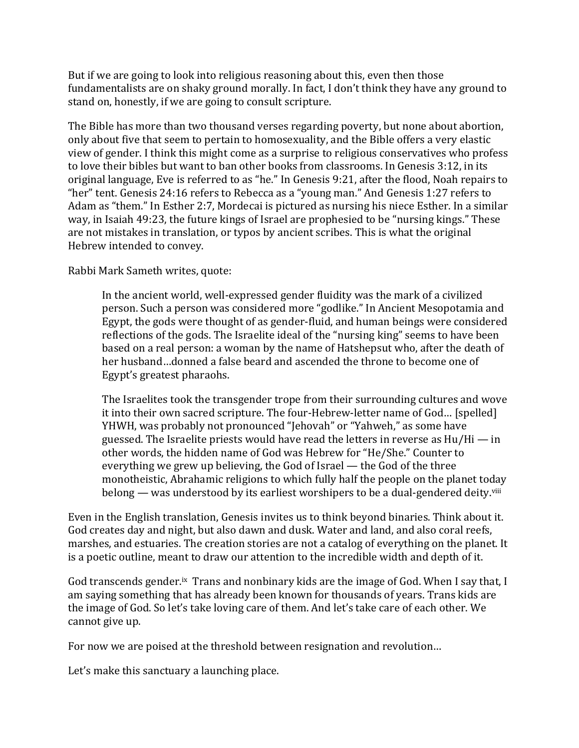But if we are going to look into religious reasoning about this, even then those fundamentalists are on shaky ground morally. In fact, I don't think they have any ground to stand on, honestly, if we are going to consult scripture.

The Bible has more than two thousand verses regarding poverty, but none about abortion, only about five that seem to pertain to homosexuality, and the Bible offers a very elastic view of gender. I think this might come as a surprise to religious conservatives who profess to love their bibles but want to ban other books from classrooms. In Genesis 3:12, in its original language, Eve is referred to as "he." In Genesis 9:21, after the flood, Noah repairs to "her" tent. Genesis 24:16 refers to Rebecca as a "young man." And Genesis 1:27 refers to Adam as "them." In Esther 2:7, Mordecai is pictured as nursing his niece Esther. In a similar way, in Isaiah 49:23, the future kings of Israel are prophesied to be "nursing kings." These are not mistakes in translation, or typos by ancient scribes. This is what the original Hebrew intended to convey.

Rabbi Mark Sameth writes, quote:

In the ancient world, well-expressed gender fluidity was the mark of a civilized person. Such a person was considered more "godlike." In Ancient Mesopotamia and Egypt, the gods were thought of as gender-fluid, and human beings were considered reflections of the gods. The Israelite ideal of the "nursing king" seems to have been based on a real person: a woman by the name of Hatshepsut who, after the death of her husband...donned a false beard and ascended the throne to become one of Egypt's greatest pharaohs.

The Israelites took the transgender trope from their surrounding cultures and wove it into their own sacred scripture. The four-Hebrew-letter name of God... [spelled] YHWH, was probably not pronounced "Jehovah" or "Yahweh," as some have guessed. The Israelite priests would have read the letters in reverse as  $Hu/Hi - in$ other words, the hidden name of God was Hebrew for "He/She." Counter to everything we grew up believing, the God of Israel  $-$  the God of the three monotheistic, Abrahamic religions to which fully half the people on the planet today belong — was understood by its earliest worshipers to be a dual-gendered deity.<sup>viii</sup>

Even in the English translation, Genesis invites us to think beyond binaries. Think about it. God creates day and night, but also dawn and dusk. Water and land, and also coral reefs, marshes, and estuaries. The creation stories are not a catalog of everything on the planet. It is a poetic outline, meant to draw our attention to the incredible width and depth of it.

God transcends gender.<sup>ix</sup> Trans and nonbinary kids are the image of God. When I say that, I am saying something that has already been known for thousands of years. Trans kids are the image of God. So let's take loving care of them. And let's take care of each other. We cannot give up.

For now we are poised at the threshold between resignation and revolution...

Let's make this sanctuary a launching place.